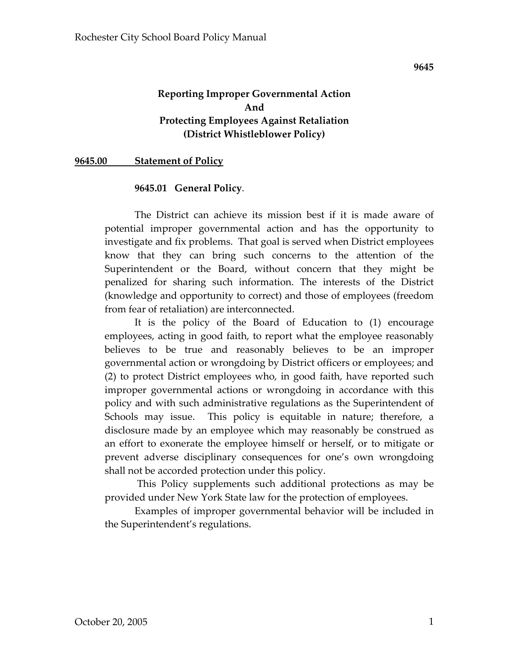## **Reporting Improper Governmental Action And Protecting Employees Against Retaliation (District Whistleblower Policy)**

**9645.00 Statement of Policy**

#### **9645.01 General Policy**.

The District can achieve its mission best if it is made aware of potential improper governmental action and has the opportunity to investigate and fix problems. That goal is served when District employees know that they can bring such concerns to the attention of the Superintendent or the Board, without concern that they might be penalized for sharing such information. The interests of the District (knowledge and opportunity to correct) and those of employees (freedom from fear of retaliation) are interconnected.

It is the policy of the Board of Education to (1) encourage employees, acting in good faith, to report what the employee reasonably believes to be true and reasonably believes to be an improper governmental action or wrongdoing by District officers or employees; and (2) to protect District employees who, in good faith, have reported such improper governmental actions or wrongdoing in accordance with this policy and with such administrative regulations as the Superintendent of Schools may issue. This policy is equitable in nature; therefore, a disclosure made by an employee which may reasonably be construed as an effort to exonerate the employee himself or herself, or to mitigate or prevent adverse disciplinary consequences for one's own wrongdoing shall not be accorded protection under this policy.

This Policy supplements such additional protections as may be provided under New York State law for the protection of employees.

Examples of improper governmental behavior will be included in the Superintendent's regulations.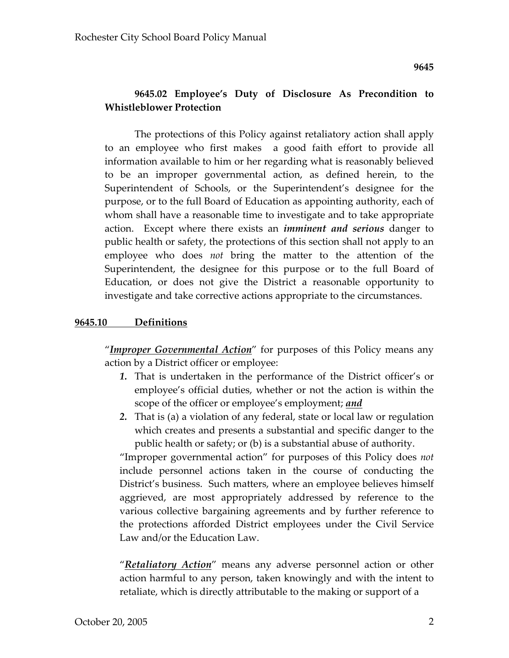# **9645.02 Employee's Duty of Disclosure As Precondition to Whistleblower Protection**

The protections of this Policy against retaliatory action shall apply to an employee who first makes a good faith effort to provide all information available to him or her regarding what is reasonably believed to be an improper governmental action, as defined herein, to the Superintendent of Schools, or the Superintendent's designee for the purpose, or to the full Board of Education as appointing authority, each of whom shall have a reasonable time to investigate and to take appropriate action. Except where there exists an *imminent and serious* danger to public health or safety, the protections of this section shall not apply to an employee who does *not* bring the matter to the attention of the Superintendent, the designee for this purpose or to the full Board of Education, or does not give the District a reasonable opportunity to investigate and take corrective actions appropriate to the circumstances.

#### **9645.10 Definitions**

"*Improper Governmental Action*" for purposes of this Policy means any action by a District officer or employee:

- *1.* That is undertaken in the performance of the District officer's or employee's official duties, whether or not the action is within the scope of the officer or employee's employment; *and*
- *2.* That is (a) a violation of any federal, state or local law or regulation which creates and presents a substantial and specific danger to the public health or safety; or (b) is a substantial abuse of authority.

"Improper governmental action" for purposes of this Policy does *not* include personnel actions taken in the course of conducting the District's business. Such matters, where an employee believes himself aggrieved, are most appropriately addressed by reference to the various collective bargaining agreements and by further reference to the protections afforded District employees under the Civil Service Law and/or the Education Law.

"*Retaliatory Action*" means any adverse personnel action or other action harmful to any person, taken knowingly and with the intent to retaliate, which is directly attributable to the making or support of a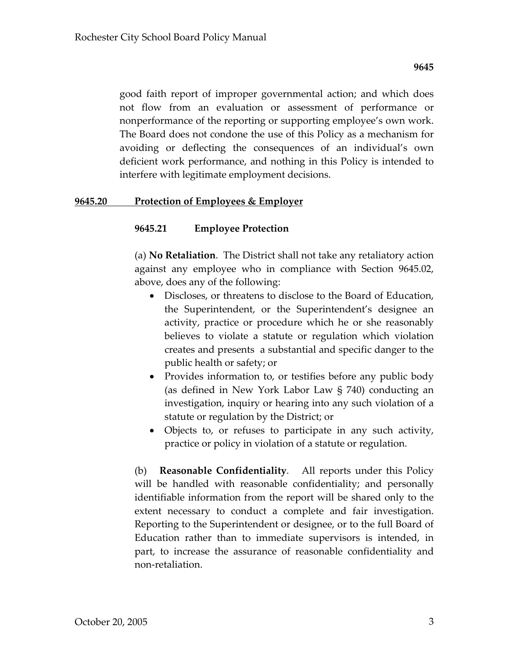good faith report of improper governmental action; and which does not flow from an evaluation or assessment of performance or nonperformance of the reporting or supporting employee's own work. The Board does not condone the use of this Policy as a mechanism for avoiding or deflecting the consequences of an individual's own deficient work performance, and nothing in this Policy is intended to interfere with legitimate employment decisions.

#### **9645.20 Protection of Employees & Employer**

#### **9645.21 Employee Protection**

(a) **No Retaliation**. The District shall not take any retaliatory action against any employee who in compliance with Section 9645.02, above, does any of the following:

- Discloses, or threatens to disclose to the Board of Education, the Superintendent, or the Superintendent's designee an activity, practice or procedure which he or she reasonably believes to violate a statute or regulation which violation creates and presents a substantial and specific danger to the public health or safety; or
- Provides information to, or testifies before any public body (as defined in New York Labor Law § 740) conducting an investigation, inquiry or hearing into any such violation of a statute or regulation by the District; or
- Objects to, or refuses to participate in any such activity, practice or policy in violation of a statute or regulation.

(b) **Reasonable Confidentiality**. All reports under this Policy will be handled with reasonable confidentiality; and personally identifiable information from the report will be shared only to the extent necessary to conduct a complete and fair investigation. Reporting to the Superintendent or designee, or to the full Board of Education rather than to immediate supervisors is intended, in part, to increase the assurance of reasonable confidentiality and non‐retaliation.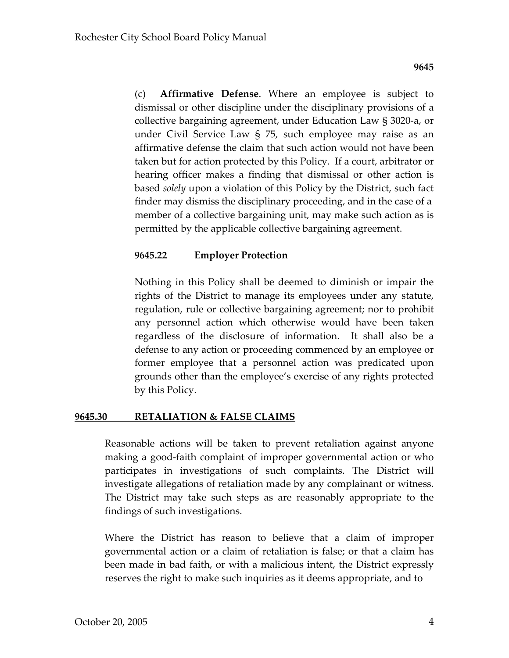(c) **Affirmative Defense**. Where an employee is subject to dismissal or other discipline under the disciplinary provisions of a collective bargaining agreement, under Education Law § 3020‐a, or under Civil Service Law § 75, such employee may raise as an affirmative defense the claim that such action would not have been taken but for action protected by this Policy. If a court, arbitrator or hearing officer makes a finding that dismissal or other action is based *solely* upon a violation of this Policy by the District, such fact finder may dismiss the disciplinary proceeding, and in the case of a member of a collective bargaining unit, may make such action as is permitted by the applicable collective bargaining agreement.

# **9645.22 Employer Protection**

Nothing in this Policy shall be deemed to diminish or impair the rights of the District to manage its employees under any statute, regulation, rule or collective bargaining agreement; nor to prohibit any personnel action which otherwise would have been taken regardless of the disclosure of information. It shall also be a defense to any action or proceeding commenced by an employee or former employee that a personnel action was predicated upon grounds other than the employee's exercise of any rights protected by this Policy.

### **9645.30 RETALIATION & FALSE CLAIMS**

Reasonable actions will be taken to prevent retaliation against anyone making a good‐faith complaint of improper governmental action or who participates in investigations of such complaints. The District will investigate allegations of retaliation made by any complainant or witness. The District may take such steps as are reasonably appropriate to the findings of such investigations.

Where the District has reason to believe that a claim of improper governmental action or a claim of retaliation is false; or that a claim has been made in bad faith, or with a malicious intent, the District expressly reserves the right to make such inquiries as it deems appropriate, and to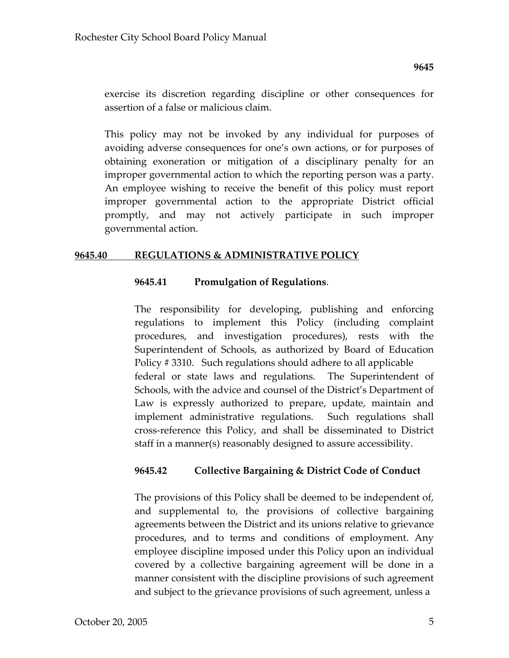exercise its discretion regarding discipline or other consequences for assertion of a false or malicious claim.

This policy may not be invoked by any individual for purposes of avoiding adverse consequences for one's own actions, or for purposes of obtaining exoneration or mitigation of a disciplinary penalty for an improper governmental action to which the reporting person was a party. An employee wishing to receive the benefit of this policy must report improper governmental action to the appropriate District official promptly, and may not actively participate in such improper governmental action.

#### **9645.40 REGULATIONS & ADMINISTRATIVE POLICY**

### **9645.41 Promulgation of Regulations**.

The responsibility for developing, publishing and enforcing regulations to implement this Policy (including complaint procedures, and investigation procedures), rests with the Superintendent of Schools, as authorized by Board of Education Policy # 3310. Such regulations should adhere to all applicable federal or state laws and regulations. The Superintendent of Schools, with the advice and counsel of the District's Department of Law is expressly authorized to prepare, update, maintain and implement administrative regulations. Such regulations shall cross‐reference this Policy, and shall be disseminated to District staff in a manner(s) reasonably designed to assure accessibility.

### **9645.42 Collective Bargaining & District Code of Conduct**

The provisions of this Policy shall be deemed to be independent of, and supplemental to, the provisions of collective bargaining agreements between the District and its unions relative to grievance procedures, and to terms and conditions of employment. Any employee discipline imposed under this Policy upon an individual covered by a collective bargaining agreement will be done in a manner consistent with the discipline provisions of such agreement and subject to the grievance provisions of such agreement, unless a